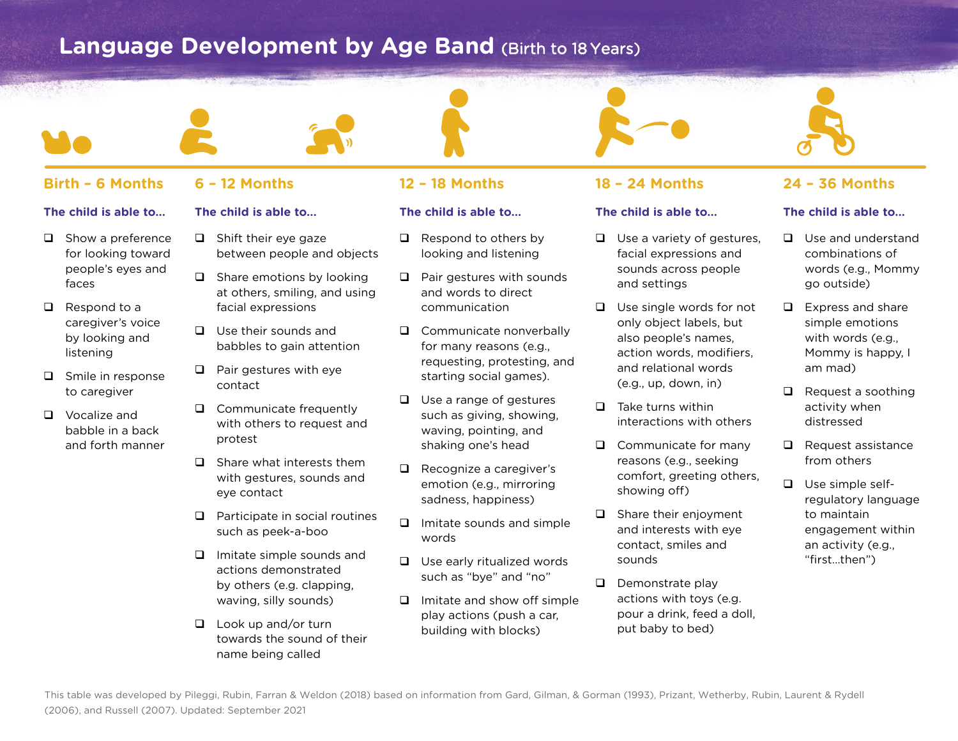# **Language Development by Age Band (Birth to 18 Years)**







## **The child is able to...**

 $\Box$  Use a variety of gestures, facial expressions and sounds across people and settings

 $\Box$  Use single words for not only object labels, but also people's names, action words, modifiers, and relational words (e.g., up, down, in)

- $\Box$  Take turns within interactions with others
- $\Box$  Communicate for many reasons (e.g., seeking comfort, greeting others, showing off)
- $\Box$  Share their enjoyment and interests with eye contact, smiles and sounds
- $\Box$  Demonstrate play actions with toys (e.g. pour a drink, feed a doll, put baby to bed)

## **The child is able to...**

- $\Box$  Use and understand combinations of words (e.g., Mommy go outside)
- $\Box$  Express and share simple emotions with words (e.g., Mommy is happy, I am mad)
- $\Box$  Request a soothing activity when distressed
- $\Box$  Request assistance from others
- $\Box$  Use simple selfregulatory language to maintain engagement within an activity (e.g., "first…then")

## **Birth – 6 Months 6 – 12 Months 12 – 18 Months 18 – 24 Months 24 – 36 Months**

## **The child is able to...**

- $\Box$  Show a preference for looking toward people's eyes and faces
- $\Box$  Respond to a caregiver's voice by looking and listening
- $\Box$  Smile in response to caregiver
- $\Box$  Vocalize and babble in a back and forth manner
- **The child is able to...**
- $\Box$  Shift their eye gaze between people and objects
- $\Box$  Share emotions by looking at others, smiling, and using facial expressions
- $\Box$  Use their sounds and babbles to gain attention
- $\Box$  Pair gestures with eye contact
- $\Box$  Communicate frequently with others to request and protest
- $\Box$  Share what interests them with gestures, sounds and eye contact
- $\Box$  Participate in social routines such as peek-a-boo
- $\Box$  Imitate simple sounds and actions demonstrated by others (e.g. clapping, waving, silly sounds)
- $\Box$  Look up and/or turn towards the sound of their name being called

## **The child is able to...**

- $\Box$  Respond to others by looking and listening
- $\Box$  Pair gestures with sounds and words to direct communication
- $\Box$  Communicate nonverbally for many reasons (e.g., requesting, protesting, and starting social games).
- $\Box$  Use a range of gestures such as giving, showing, waving, pointing, and shaking one's head
- $\Box$  Recognize a caregiver's emotion (e.g., mirroring sadness, happiness)
- $\Box$  Imitate sounds and simple words
- $\Box$  Use early ritualized words such as "bye" and "no"
- $\Box$  Imitate and show off simple play actions (push a car, building with blocks)